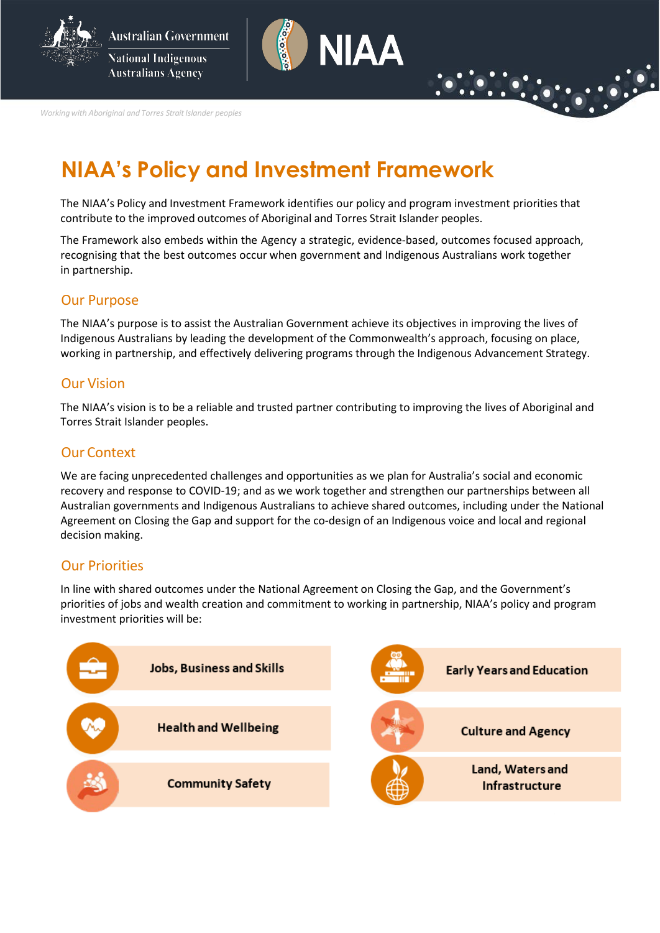



*Working with Aboriginal and Torres Strait Islander peoples* 

# **NIAA's Policy and Investment Framework**

The NIAA's Policy and Investment Framework identifies our policy and program investment priorities that contribute to the improved outcomes of Aboriginal and Torres Strait Islander peoples.

The Framework also embeds within the Agency a strategic, evidence-based, outcomes focused approach, recognising that the best outcomes occur when government and Indigenous Australians work together in partnership.

#### Our Purpose

The NIAA's purpose is to assist the Australian Government achieve its objectives in improving the lives of Indigenous Australians by leading the development of the Commonwealth's approach, focusing on place, working in partnership, and effectively delivering programs through the Indigenous Advancement Strategy.

#### Our Vision

The NIAA's vision is to be a reliable and trusted partner contributing to improving the lives of Aboriginal and Torres Strait Islander peoples.

#### Our Context

We are facing unprecedented challenges and opportunities as we plan for Australia's social and economic recovery and response to COVID-19; and as we work together and strengthen our partnerships between all Australian governments and Indigenous Australians to achieve shared outcomes, including under the National Agreement on Closing the Gap and support for the co-design of an Indigenous voice and local and regional decision making.

#### Our Priorities

In line with shared outcomes under the National Agreement on Closing the Gap, and the Government's priorities of jobs and wealth creation and commitment to working in partnership, NIAA's policy and program investment priorities will be:

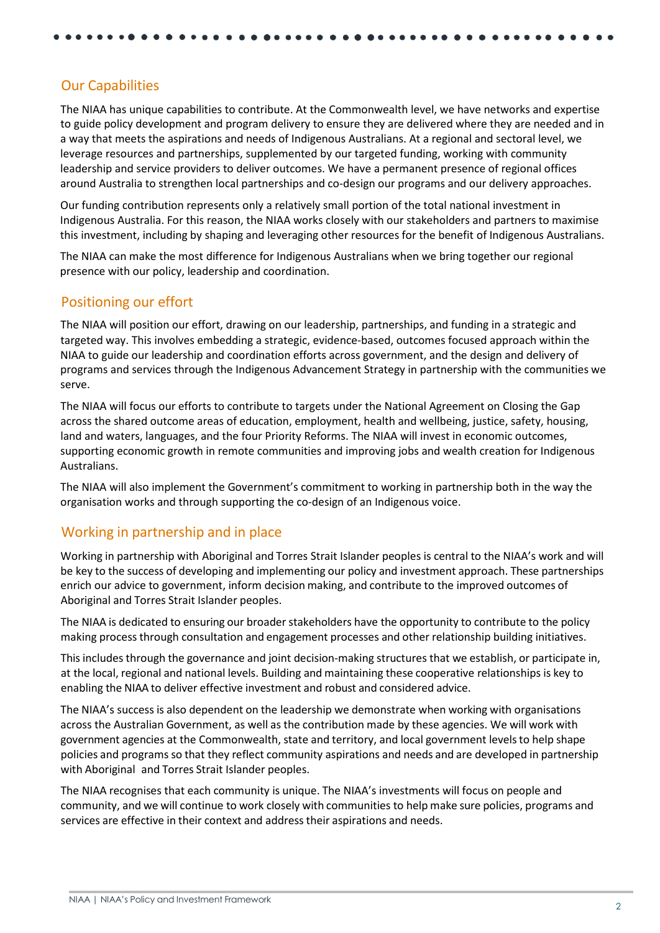# Our Capabilities

The NIAA has unique capabilities to contribute. At the Commonwealth level, we have networks and expertise to guide policy development and program delivery to ensure they are delivered where they are needed and in a way that meets the aspirations and needs of Indigenous Australians. At a regional and sectoral level, we leverage resources and partnerships, supplemented by our targeted funding, working with community leadership and service providers to deliver outcomes. We have a permanent presence of regional offices around Australia to strengthen local partnerships and co-design our programs and our delivery approaches.

Our funding contribution represents only a relatively small portion of the total national investment in Indigenous Australia. For this reason, the NIAA works closely with our stakeholders and partners to maximise this investment, including by shaping and leveraging other resources for the benefit of Indigenous Australians.

The NIAA can make the most difference for Indigenous Australians when we bring together our regional presence with our policy, leadership and coordination.

#### Positioning our effort

The NIAA will position our effort, drawing on our leadership, partnerships, and funding in a strategic and targeted way. This involves embedding a strategic, evidence-based, outcomes focused approach within the NIAA to guide our leadership and coordination efforts across government, and the design and delivery of programs and services through the Indigenous Advancement Strategy in partnership with the communities we serve.

The NIAA will focus our efforts to contribute to targets under the National Agreement on Closing the Gap across the shared outcome areas of education, employment, health and wellbeing, justice, safety, housing, land and waters, languages, and the four Priority Reforms. The NIAA will invest in economic outcomes, supporting economic growth in remote communities and improving jobs and wealth creation for Indigenous Australians.

The NIAA will also implement the Government's commitment to working in partnership both in the way the organisation works and through supporting the co-design of an Indigenous voice.

## Working in partnership and in place

Working in partnership with Aboriginal and Torres Strait Islander peoples is central to the NIAA's work and will be key to the success of developing and implementing our policy and investment approach. These partnerships enrich our advice to government, inform decision making, and contribute to the improved outcomes of Aboriginal and Torres Strait Islander peoples.

The NIAA is dedicated to ensuring our broader stakeholders have the opportunity to contribute to the policy making process through consultation and engagement processes and other relationship building initiatives.

This includes through the governance and joint decision-making structures that we establish, or participate in, at the local, regional and national levels. Building and maintaining these cooperative relationships is key to enabling the NIAA to deliver effective investment and robust and considered advice.

The NIAA's success is also dependent on the leadership we demonstrate when working with organisations across the Australian Government, as well as the contribution made by these agencies. We will work with government agencies at the Commonwealth, state and territory, and local government levelsto help shape policies and programs so that they reflect community aspirations and needs and are developed in partnership with Aboriginal and Torres Strait Islander peoples.

The NIAA recognises that each community is unique. The NIAA's investments will focus on people and community, and we will continue to work closely with communities to help make sure policies, programs and services are effective in their context and address their aspirations and needs.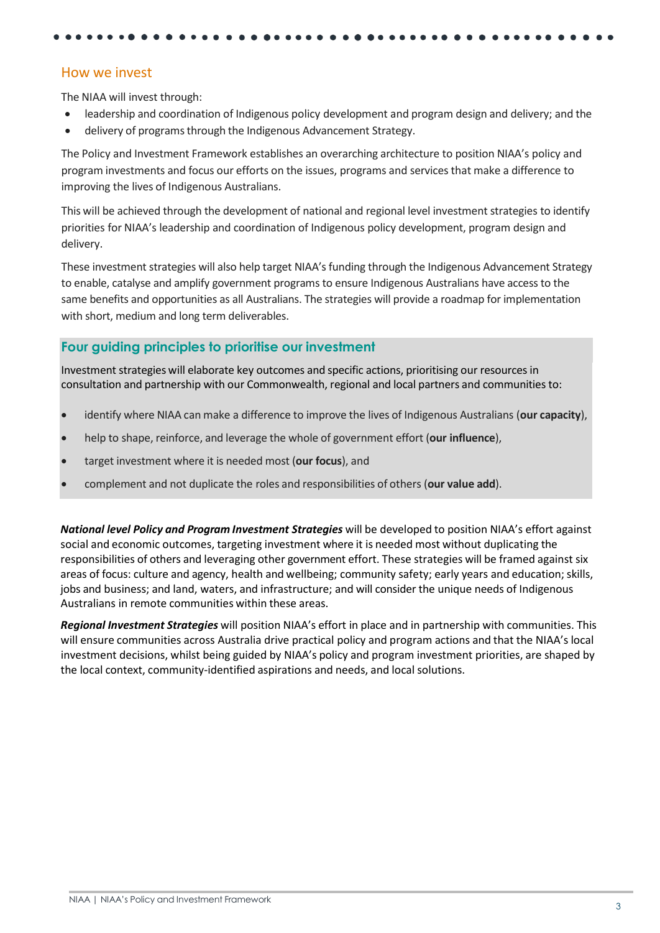#### How we invest

The NIAA will invest through:

- leadership and coordination of Indigenous policy development and program design and delivery; and the
- delivery of programs through the Indigenous Advancement Strategy.

The Policy and Investment Framework establishes an overarching architecture to position NIAA's policy and program investments and focus our efforts on the issues, programs and services that make a difference to improving the lives of Indigenous Australians.

This will be achieved through the development of national and regional level investment strategies to identify priorities for NIAA's leadership and coordination of Indigenous policy development, program design and delivery.

These investment strategies will also help target NIAA's funding through the Indigenous Advancement Strategy to enable, catalyse and amplify government programs to ensure Indigenous Australians have access to the same benefits and opportunities as all Australians. The strategies will provide a roadmap for implementation with short, medium and long term deliverables.

## **Four guiding principles to prioritise our investment**

Investment strategies will elaborate key outcomes and specific actions, prioritising our resourcesin consultation and partnership with our Commonwealth, regional and local partners and communities to:

- identify where NIAA can make a difference to improve the lives of Indigenous Australians (**our capacity**),
- help to shape, reinforce, and leverage the whole of government effort (**our influence**),
- target investment where it is needed most (**our focus**), and
- complement and not duplicate the roles and responsibilities of others (**our value add**).

*National level Policy and Program Investment Strategies* will be developed to position NIAA's effort against social and economic outcomes, targeting investment where it is needed most without duplicating the responsibilities of others and leveraging other government effort. These strategies will be framed against six areas of focus: culture and agency, health and wellbeing; community safety; early years and education;skills, jobs and business; and land, waters, and infrastructure; and will consider the unique needs of Indigenous Australians in remote communities within these areas.

*Regional Investment Strategies* will position NIAA's effort in place and in partnership with communities. This will ensure communities across Australia drive practical policy and program actions and that the NIAA's local investment decisions, whilst being guided by NIAA's policy and program investment priorities, are shaped by the local context, community-identified aspirations and needs, and local solutions.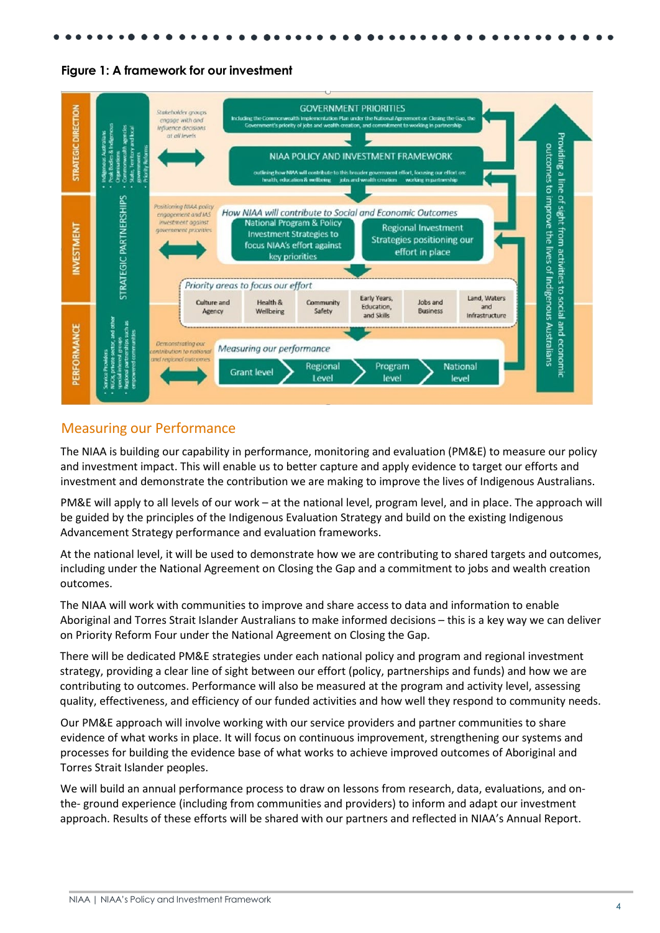





#### Measuring our Performance

The NIAA is building our capability in performance, monitoring and evaluation (PM&E) to measure our policy and investment impact. This will enable us to better capture and apply evidence to target our efforts and investment and demonstrate the contribution we are making to improve the lives of Indigenous Australians.

PM&E will apply to all levels of our work – at the national level, program level, and in place. The approach will be guided by the principles of the Indigenous Evaluation Strategy and build on the existing Indigenous Advancement Strategy performance and evaluation frameworks.

At the national level, it will be used to demonstrate how we are contributing to shared targets and outcomes, including under the National Agreement on Closing the Gap and a commitment to jobs and wealth creation outcomes.

The NIAA will work with communities to improve and share access to data and information to enable Aboriginal and Torres Strait Islander Australians to make informed decisions – this is a key way we can deliver on Priority Reform Four under the National Agreement on Closing the Gap.

There will be dedicated PM&E strategies under each national policy and program and regional investment strategy, providing a clear line of sight between our effort (policy, partnerships and funds) and how we are contributing to outcomes. Performance will also be measured at the program and activity level, assessing quality, effectiveness, and efficiency of our funded activities and how well they respond to community needs.

Our PM&E approach will involve working with our service providers and partner communities to share evidence of what works in place. It will focus on continuous improvement, strengthening our systems and processes for building the evidence base of what works to achieve improved outcomes of Aboriginal and Torres Strait Islander peoples.

We will build an annual performance process to draw on lessons from research, data, evaluations, and onthe- ground experience (including from communities and providers) to inform and adapt our investment approach. Results of these efforts will be shared with our partners and reflected in NIAA's Annual Report.